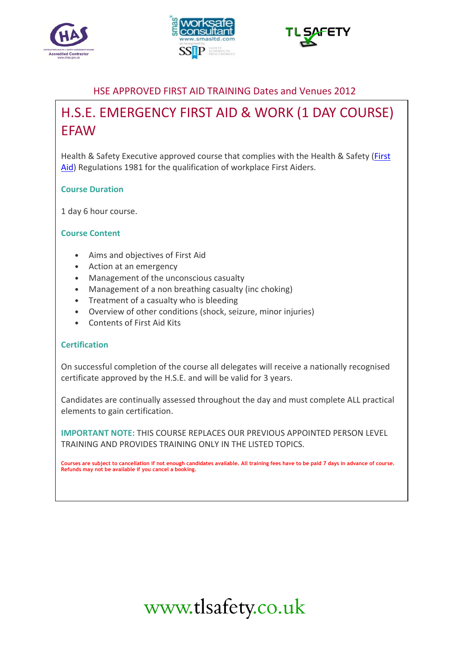





## HSE APPROVED FIRST AID TRAINING Dates and Venues 2012

## H.S.E. EMERGENCY FIRST AID & WORK (1 DAY COURSE) **FFAW**

Health & Safety Executive approved course that complies with the Health & Safety (First Aid) Regulations 1981 for the qualification of workplace First Aiders.

### Course Duration

1 day 6 hour course.

### Course Content

- Aims and objectives of First Aid
- Action at an emergency
- Management of the unconscious casualty
- Management of a non breathing casualty (inc choking)
- Treatment of a casualty who is bleeding
- Overview of other conditions (shock, seizure, minor injuries)
- Contents of First Aid Kits

#### **Certification**

On successful completion of the course all delegates will receive a nationally recognised certificate approved by the H.S.E. and will be valid for 3 years.

Candidates are continually assessed throughout the day and must complete ALL practical elements to gain certification.

IMPORTANT NOTE: THIS COURSE REPLACES OUR PREVIOUS APPOINTED PERSON LEVEL TRAINING AND PROVIDES TRAINING ONLY IN THE LISTED TOPICS.

Courses are subject to cancellation if not enough candidates available. All training fees have to be paid 7 days in advance of course. Refunds may not be available if you cancel a booking.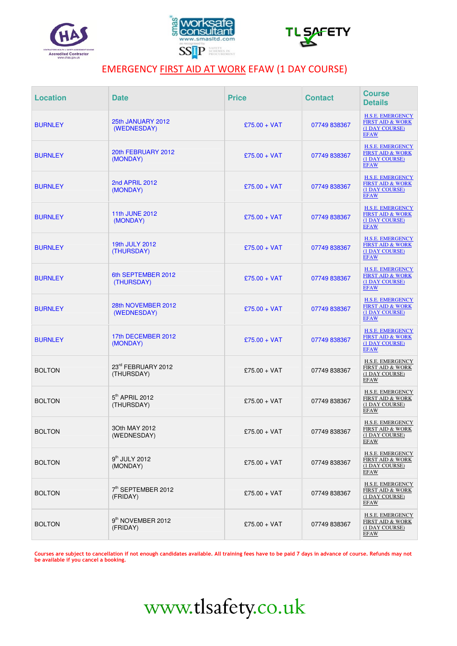





## EMERGENCY FIRST AID AT WORK EFAW (1 DAY COURSE)

| <b>Location</b> | <b>Date</b>                               | <b>Price</b>   | <b>Contact</b> | <b>Course</b><br><b>Details</b>                                                         |
|-----------------|-------------------------------------------|----------------|----------------|-----------------------------------------------------------------------------------------|
| <b>BURNLEY</b>  | 25th JANUARY 2012<br>(WEDNESDAY)          | £75.00 + VAT   | 07749 838367   | <b>H.S.E. EMERGENCY</b><br><b>FIRST AID &amp; WORK</b><br>(1 DAY COURSE)<br><b>EFAW</b> |
| <b>BURNLEY</b>  | 20th FEBRUARY 2012<br>(MONDAY)            | £75.00 + VAT   | 07749 838367   | <b>H.S.E. EMERGENCY</b><br><b>FIRST AID &amp; WORK</b><br>(1 DAY COURSE)<br><b>EFAW</b> |
| <b>BURNLEY</b>  | 2nd APRIL 2012<br>(MONDAY)                | $£75.00 + VAT$ | 07749 838367   | <b>H.S.E. EMERGENCY</b><br><b>FIRST AID &amp; WORK</b><br>(1 DAY COURSE)<br><b>EFAW</b> |
| <b>BURNLEY</b>  | 11th JUNE 2012<br>(MONDAY)                | £75.00 + VAT   | 07749 838367   | <b>H.S.E. EMERGENCY</b><br><b>FIRST AID &amp; WORK</b><br>(1 DAY COURSE)<br><b>EFAW</b> |
| <b>BURNLEY</b>  | 19th JULY 2012<br>(THURSDAY)              | £75.00 + VAT   | 07749 838367   | <b>H.S.E. EMERGENCY</b><br><b>FIRST AID &amp; WORK</b><br>(1 DAY COURSE)<br><b>EFAW</b> |
| <b>BURNLEY</b>  | 6th SEPTEMBER 2012<br>(THURSDAY)          | $£75.00 + VAT$ | 07749 838367   | <b>H.S.E. EMERGENCY</b><br><b>FIRST AID &amp; WORK</b><br>(1 DAY COURSE)<br><b>EFAW</b> |
| <b>BURNLEY</b>  | 28th NOVEMBER 2012<br>(WEDNESDAY)         | £75.00 + VAT   | 07749 838367   | <b>H.S.E. EMERGENCY</b><br><b>FIRST AID &amp; WORK</b><br>(1 DAY COURSE)<br><b>EFAW</b> |
| <b>BURNLEY</b>  | 17th DECEMBER 2012<br>(MONDAY)            | £75.00 + VAT   | 07749 838367   | <b>H.S.E. EMERGENCY</b><br><b>FIRST AID &amp; WORK</b><br>(1 DAY COURSE)<br><b>EFAW</b> |
| <b>BOLTON</b>   | 23rd FEBRUARY 2012<br>(THURSDAY)          | £75.00 + VAT   | 07749 838367   | <b>H.S.E. EMERGENCY</b><br><b>FIRST AID &amp; WORK</b><br>(1 DAY COURSE)<br><b>EFAW</b> |
| <b>BOLTON</b>   | 5 <sup>th</sup> APRIL 2012<br>(THURSDAY)  | £75.00 + VAT   | 07749 838367   | H.S.E. EMERGENCY<br><b>FIRST AID &amp; WORK</b><br>(1 DAY COURSE)<br><b>EFAW</b>        |
| <b>BOLTON</b>   | 30th MAY 2012<br>(WEDNESDAY)              | £75.00 + VAT   | 07749 838367   | H.S.E. EMERGENCY<br><b>FIRST AID &amp; WORK</b><br>(1 DAY COURSE)<br><b>EFAW</b>        |
| <b>BOLTON</b>   | 9 <sup>th</sup> JULY 2012<br>(MONDAY)     | £75.00 + VAT   | 07749 838367   | <b>H.S.E. EMERGENCY</b><br><b>FIRST AID &amp; WORK</b><br>(1 DAY COURSE)<br><b>EFAW</b> |
| <b>BOLTON</b>   | 7th SEPTEMBER 2012<br>(FRIDAY)            | £75.00 + VAT   | 07749 838367   | H.S.E. EMERGENCY<br><b>FIRST AID &amp; WORK</b><br>(1 DAY COURSE)<br><b>EFAW</b>        |
| <b>BOLTON</b>   | 9 <sup>th</sup> NOVEMBER 2012<br>(FRIDAY) | £75.00 + VAT   | 07749 838367   | H.S.E. EMERGENCY<br><b>FIRST AID &amp; WORK</b><br>(1 DAY COURSE)<br><b>EFAW</b>        |

Courses are subject to cancellation if not enough candidates available. All training fees have to be paid 7 days in advance of course. Refunds may not be available if you cancel a booking.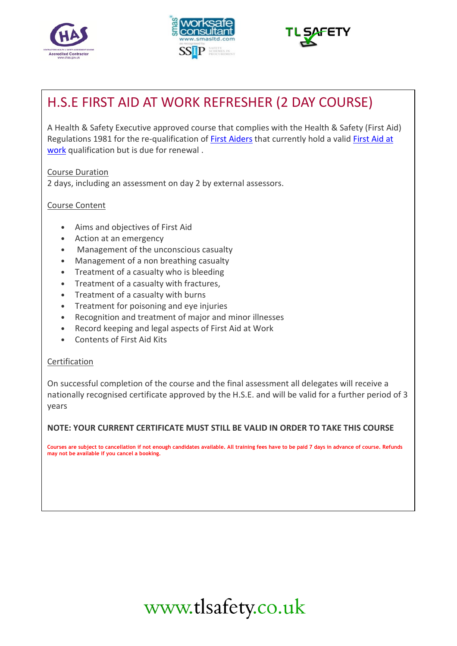





## H.S.E FIRST AID AT WORK REFRESHER (2 DAY COURSE)

A Health & Safety Executive approved course that complies with the Health & Safety (First Aid) Regulations 1981 for the re-qualification of First Aiders that currently hold a valid First Aid at work qualification but is due for renewal .

Course Duration

2 days, including an assessment on day 2 by external assessors.

## Course Content

- Aims and objectives of First Aid
- Action at an emergency
- Management of the unconscious casualty
- Management of a non breathing casualty
- Treatment of a casualty who is bleeding
- Treatment of a casualty with fractures,
- Treatment of a casualty with burns
- Treatment for poisoning and eye injuries
- Recognition and treatment of major and minor illnesses
- Record keeping and legal aspects of First Aid at Work
- Contents of First Aid Kits

### **Certification**

On successful completion of the course and the final assessment all delegates will receive a nationally recognised certificate approved by the H.S.E. and will be valid for a further period of 3 years

### NOTE: YOUR CURRENT CERTIFICATE MUST STILL BE VALID IN ORDER TO TAKE THIS COURSE

Courses are subject to cancellation if not enough candidates available. All training fees have to be paid 7 days in advance of course. Refunds may not be available if you cancel a booking.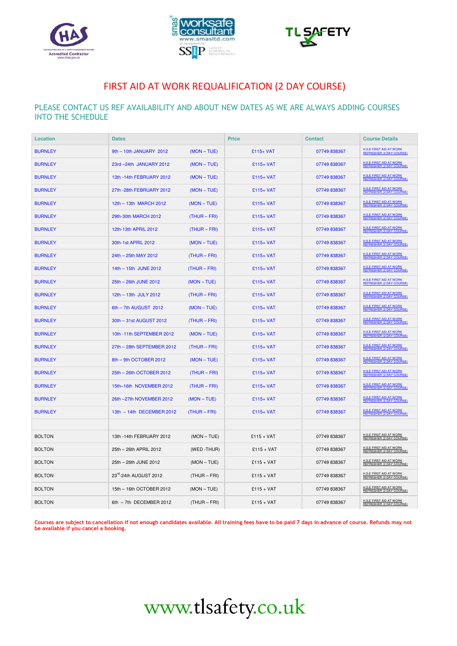





## FIRST AID AT WORK REQUALIFICATION (2 DAY COURSE)

#### PLEASE CONTACT US REF AVAILABILITY AND ABOUT NEW DATES AS WE ARE ALWAYS ADDING COURSES INTO THE SCHEDULE

| <b>Location</b> | <b>Dates</b>               |                | <b>Price</b> | <b>Contact</b> | <b>Course Details</b>                                             |
|-----------------|----------------------------|----------------|--------------|----------------|-------------------------------------------------------------------|
| <b>BURNLEY</b>  | 9th - 10th JANUARY 2012    | $(MON - TUE)$  | £115+ VAT    | 07749 838367   | <b>H.S.E FIRST AID AT WORK</b><br>REFRESHER (2 DAY COURSE)        |
| <b>BURNLEY</b>  | 23rd - 24th JANUARY 2012   | $(MON - TUE)$  | $£115+VAT$   | 07749838367    | <b>H.S.E FIRST AID AT WORK</b><br><b>REFRESHER (2 DAY COURSE)</b> |
| <b>BURNLEY</b>  | 13th -14th FEBRUARY 2012   | $(MON - TUE)$  | £115+ VAT    | 07749 838367   | <b>H.S.E FIRST AID AT WORK</b><br><b>REFRESHER (2 DAY COURSE)</b> |
| <b>BURNLEY</b>  | 27th -28th FEBRUARY 2012   | $(MON - TUE)$  | $£115+VAT$   | 07749 838367   | <b>H.S.E FIRST AID AT WORK</b><br><b>REFRESHER (2 DAY COURSE)</b> |
| <b>BURNLEY</b>  | 12th - 13th MARCH 2012     | $(MON - TUE)$  | £115+ VAT    | 07749 838367   | <b>H.S.E FIRST AID AT WORK</b><br><b>REFRESHER (2 DAY COURSE)</b> |
| <b>BURNLEY</b>  | 29th-30th MARCH 2012       | $(THUR - FRI)$ | £115+ VAT    | 07749 838367   | <b>H.S.E FIRST AID AT WORK</b><br><b>REFRESHER (2 DAY COURSE)</b> |
| <b>BURNLEY</b>  | 12th-13th APRIL 2012       | $(THUR - FRI)$ | $£115+VAT$   | 07749838367    | H.S.E FIRST AID AT WORK<br>REFRESHER (2 DAY COURSE)               |
| <b>BURNLEY</b>  | 30th-1st APRIL 2012        | $(MON - TUE)$  | $£115+VAT$   | 07749 838367   | <b>H.S.E FIRST AID AT WORK</b><br><b>REFRESHER (2 DAY COURSE)</b> |
| <b>BURNLEY</b>  | 24th - 25th MAY 2012       | $(THUR - FRI)$ | $£115+VAT$   | 07749 838367   | <b>H.S.E FIRST AID AT WORK</b><br><b>REFRESHER (2 DAY COURSE)</b> |
| <b>BURNLEY</b>  | 14th - 15th JUNE 2012      | (THUR - FRI)   | $£115+VAT$   | 07749 838367   | <b>H.S.E FIRST AID AT WORK</b><br><b>REFRESHER (2 DAY COURSE)</b> |
| <b>BURNLEY</b>  | 25th - 26th JUNE 2012      | $(MON - TUE)$  | $£115+VAT$   | 07749 838367   | <b>H.S.E FIRST AID AT WORK</b><br><b>REFRESHER (2 DAY COURSE)</b> |
| <b>BURNLEY</b>  | 12th - 13th JULY 2012      | $(THUR - FRI)$ | $£115+VAT$   | 07749838367    | H.S.E FIRST AID AT WORK<br>REFRESHER (2 DAY COURSE)               |
| <b>BURNLEY</b>  | 6th - 7th AUGUST 2012      | $(MON - TUE)$  | $£115+VAT$   | 07749 838367   | H.S.E FIRST AID AT WORK<br><b>REFRESHER (2 DAY COURSE)</b>        |
| <b>BURNLEY</b>  | 30th - 31st AUGUST 2012    | $(THUR - FRI)$ | $£115+VAT$   | 07749 838367   | <b>H.S.E FIRST AID AT WORK</b><br>REFRESHER (2 DAY COURSE)        |
| <b>BURNLEY</b>  | 10th -11th SEPTEMBER 2012  | $(MON - TUE)$  | £115+ VAT    | 07749 838367   | <b>H.S.E FIRST AID AT WORK</b><br><b>REFRESHER (2 DAY COURSE)</b> |
| <b>BURNLEY</b>  | 27th - 28th SEPTEMBER 2012 | $(THUR - FRI)$ | $£115+VAT$   | 07749 838367   | <b>H.S.E FIRST AID AT WORK</b><br><b>REFRESHER (2 DAY COURSE)</b> |
| <b>BURNLEY</b>  | 8th - 9th OCTOBER 2012     | $(MON - TUE)$  | $£115+VAT$   | 07749838367    | <b>H.S.E FIRST AID AT WORK</b><br><b>REFRESHER (2 DAY COURSE)</b> |
| <b>BURNLEY</b>  | 25th - 26th OCTOBER 2012   | $(THUR - FRI)$ | £115+ VAT    | 07749 838367   | <b>H.S.E FIRST AID AT WORK</b><br><b>REFRESHER (2 DAY COURSE)</b> |
| <b>BURNLEY</b>  | 15th-16th NOVEMBER 2012    | $(THUR - FRI)$ | £115+ VAT    | 07749838367    | H.S.E FIRST AID AT WORK<br><b>REFRESHER (2 DAY COURSE)</b>        |
| <b>BURNLEY</b>  | 26th -27th NOVEMBER 2012   | $(MON - TUE)$  | $£115+VAT$   | 07749 838367   | <b>H.S.E FIRST AID AT WORK</b><br><b>REFRESHER (2 DAY COURSE)</b> |
| <b>BURNLEY</b>  | 13th - 14th DECEMBER 2012  | (THUR – FRI)   | $£115+VAT$   | 07749 838367   | H.S.E FIRST AID AT WORK<br>REFRESHER (2 DAY COURSE)               |
|                 |                            |                |              |                |                                                                   |
| <b>BOLTON</b>   | 13th -14th FEBRUARY 2012   | $(MON - TUE)$  | $£115 + VAT$ | 07749 838367   | <b>H.S.E FIRST AID AT WORK</b><br>REFRESHER (2 DAY COURSE)        |
| <b>BOLTON</b>   | 25th - 26th APRIL 2012     | (WED-THUR)     | $£115 + VAT$ | 07749 838367   | H.S.E FIRST AID AT WORK<br>REFRESHER (2 DAY COURSE)               |
| <b>BOLTON</b>   | 25th - 26th JUNE 2012      | $(MON-TUE)$    | $£115 + VAT$ | 07749 838367   | <b>H.S.E FIRST AID AT WORK</b><br>REFRESHER (2 DAY COURSE)        |
| <b>BOLTON</b>   | 23rd-24th AUGUST 2012      | $(THUR - FRI)$ | $£115 + VAT$ | 07749 838367   | H.S.E FIRST AID AT WORK<br>REFRESHER (2 DAY COURSE)               |
| <b>BOLTON</b>   | 15th - 16th OCTOBER 2012   | $(MON - TUE)$  | $£115 + VAT$ | 07749 838367   | <b>H.S.E FIRST AID AT WORK</b><br>REFRESHER (2 DAY COURSE)        |
| <b>BOLTON</b>   | 6th - 7th DECEMBER 2012    | (THUR - FRI)   | $£115 + VAT$ | 07749 838367   | H.S.E FIRST AID AT WORK<br>REFRESHER (2 DAY COURSE)               |

Courses are subject to cancellation if not enough candidates available. All training fees have to be paid 7 days in advance of course. Refunds may not be available if you cancel a booking.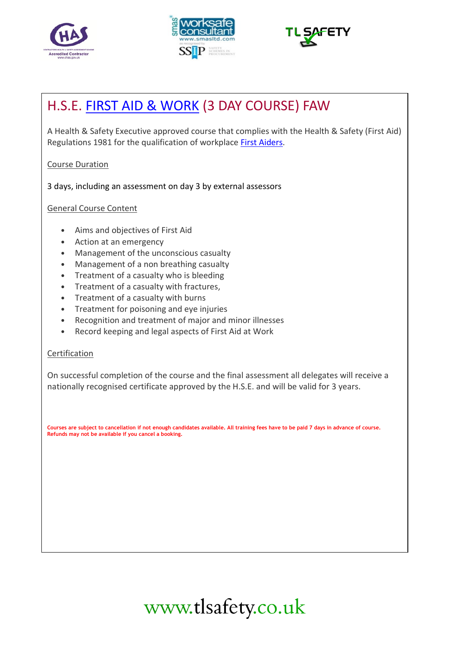





## H.S.E. FIRST AID & WORK (3 DAY COURSE) FAW

A Health & Safety Executive approved course that complies with the Health & Safety (First Aid) Regulations 1981 for the qualification of workplace First Aiders.

### Course Duration

3 days, including an assessment on day 3 by external assessors

## General Course Content

- Aims and objectives of First Aid
- Action at an emergency
- Management of the unconscious casualty
- Management of a non breathing casualty
- Treatment of a casualty who is bleeding
- Treatment of a casualty with fractures,
- Treatment of a casualty with burns
- Treatment for poisoning and eye injuries
- Recognition and treatment of major and minor illnesses
- Record keeping and legal aspects of First Aid at Work

### **Certification**

On successful completion of the course and the final assessment all delegates will receive a nationally recognised certificate approved by the H.S.E. and will be valid for 3 years.

Courses are subject to cancellation if not enough candidates available. All training fees have to be paid 7 days in advance of course. Refunds may not be available if you cancel a booking.